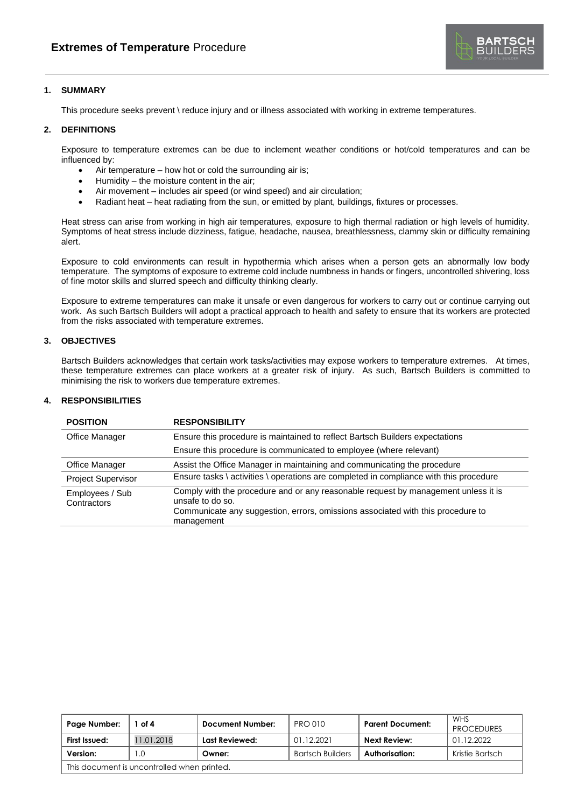

# **1. SUMMARY**

This procedure seeks prevent \ reduce injury and or illness associated with working in extreme temperatures.

### **2. DEFINITIONS**

Exposure to temperature extremes can be due to inclement weather conditions or hot/cold temperatures and can be influenced by:

- Air temperature  $-$  how hot or cold the surrounding air is;
- Humidity the moisture content in the air;
- Air movement includes air speed (or wind speed) and air circulation;
- Radiant heat heat radiating from the sun, or emitted by plant, buildings, fixtures or processes.

Heat stress can arise from working in high air temperatures, exposure to high thermal radiation or high levels of humidity. Symptoms of heat stress include dizziness, fatigue, headache, nausea, breathlessness, clammy skin or difficulty remaining alert.

Exposure to cold environments can result in hypothermia which arises when a person gets an abnormally low body temperature. The symptoms of exposure to extreme cold include numbness in hands or fingers, uncontrolled shivering, loss of fine motor skills and slurred speech and difficulty thinking clearly.

Exposure to extreme temperatures can make it unsafe or even dangerous for workers to carry out or continue carrying out work. As such Bartsch Builders will adopt a practical approach to health and safety to ensure that its workers are protected from the risks associated with temperature extremes.

## **3. OBJECTIVES**

Bartsch Builders acknowledges that certain work tasks/activities may expose workers to temperature extremes. At times, these temperature extremes can place workers at a greater risk of injury. As such, Bartsch Builders is committed to minimising the risk to workers due temperature extremes.

## **4. RESPONSIBILITIES**

| <b>POSITION</b>                | <b>RESPONSIBILITY</b>                                                                                                                                                                                   |
|--------------------------------|---------------------------------------------------------------------------------------------------------------------------------------------------------------------------------------------------------|
| <b>Office Manager</b>          | Ensure this procedure is maintained to reflect Bartsch Builders expectations                                                                                                                            |
|                                | Ensure this procedure is communicated to employee (where relevant)                                                                                                                                      |
| Office Manager                 | Assist the Office Manager in maintaining and communicating the procedure                                                                                                                                |
| <b>Project Supervisor</b>      | Ensure tasks \ activities \ operations are completed in compliance with this procedure                                                                                                                  |
| Employees / Sub<br>Contractors | Comply with the procedure and or any reasonable request by management unless it is<br>unsafe to do so.<br>Communicate any suggestion, errors, omissions associated with this procedure to<br>management |

| Page Number:                                | of 4       | Document Number: | <b>PRO 010</b>          | <b>Parent Document:</b> | <b>WHS</b><br><b>PROCEDURES</b> |
|---------------------------------------------|------------|------------------|-------------------------|-------------------------|---------------------------------|
| First Issued:                               | 11.01.2018 | Last Reviewed:   | 01.12.2021              | <b>Next Review:</b>     | 01.12.2022                      |
| Version:                                    | .0         | Owner:           | <b>Bartsch Builders</b> | Authorisation:          | Kristie Bartsch                 |
| This document is uncontrolled when printed. |            |                  |                         |                         |                                 |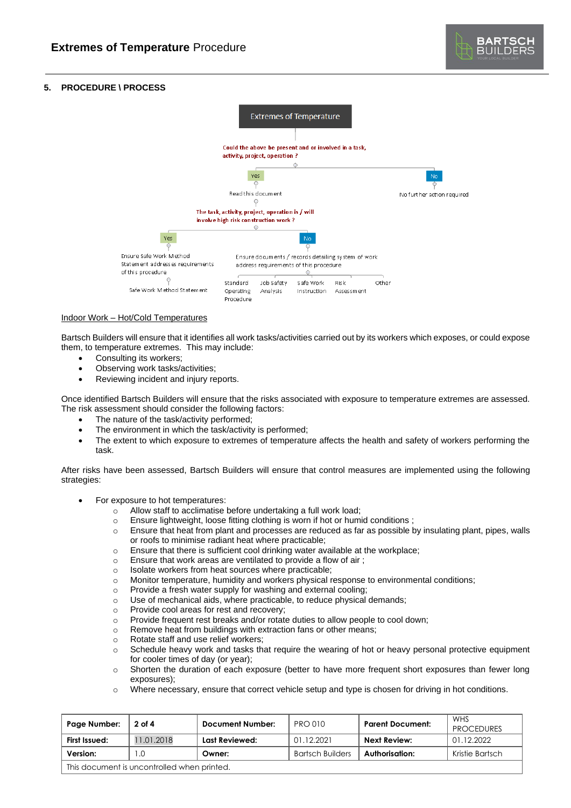# **5. PROCEDURE \ PROCESS**



#### Indoor Work – Hot/Cold Temperatures

Bartsch Builders will ensure that it identifies all work tasks/activities carried out by its workers which exposes, or could expose them, to temperature extremes. This may include:

- Consulting its workers;
- Observing work tasks/activities;
- Reviewing incident and injury reports.

Once identified Bartsch Builders will ensure that the risks associated with exposure to temperature extremes are assessed. The risk assessment should consider the following factors:

- The nature of the task/activity performed;
- The environment in which the task/activity is performed;
- The extent to which exposure to extremes of temperature affects the health and safety of workers performing the task.

After risks have been assessed, Bartsch Builders will ensure that control measures are implemented using the following strategies:

- For exposure to hot temperatures:
	- o Allow staff to acclimatise before undertaking a full work load;
	- o Ensure lightweight, loose fitting clothing is worn if hot or humid conditions ;
	- o Ensure that heat from plant and processes are reduced as far as possible by insulating plant, pipes, walls or roofs to minimise radiant heat where practicable;
	- o Ensure that there is sufficient cool drinking water available at the workplace;
	- o Ensure that work areas are ventilated to provide a flow of air ;
	- o Isolate workers from heat sources where practicable;
	- o Monitor temperature, humidity and workers physical response to environmental conditions;
	- o Provide a fresh water supply for washing and external cooling;
	- o Use of mechanical aids, where practicable, to reduce physical demands;
	- o Provide cool areas for rest and recovery;
	- o Provide frequent rest breaks and/or rotate duties to allow people to cool down;
	- o Remove heat from buildings with extraction fans or other means;
	- o Rotate staff and use relief workers;
	- o Schedule heavy work and tasks that require the wearing of hot or heavy personal protective equipment for cooler times of day (or year);
	- o Shorten the duration of each exposure (better to have more frequent short exposures than fewer long exposures);
	- o Where necessary, ensure that correct vehicle setup and type is chosen for driving in hot conditions.

| Page Number:                                | 2 of 4     | Document Number: | <b>PRO 010</b>          | <b>Parent Document:</b> | WHS<br><b>PROCEDURES</b> |
|---------------------------------------------|------------|------------------|-------------------------|-------------------------|--------------------------|
| First Issued:                               | 11.01.2018 | Last Reviewed:   | 01.12.2021              | Next Review:            | 01.12.2022               |
| Version:                                    | $\Omega$   | Owner:           | <b>Bartsch Builders</b> | Authorisation:          | Kristie Bartsch          |
| This document is uncontrolled when printed. |            |                  |                         |                         |                          |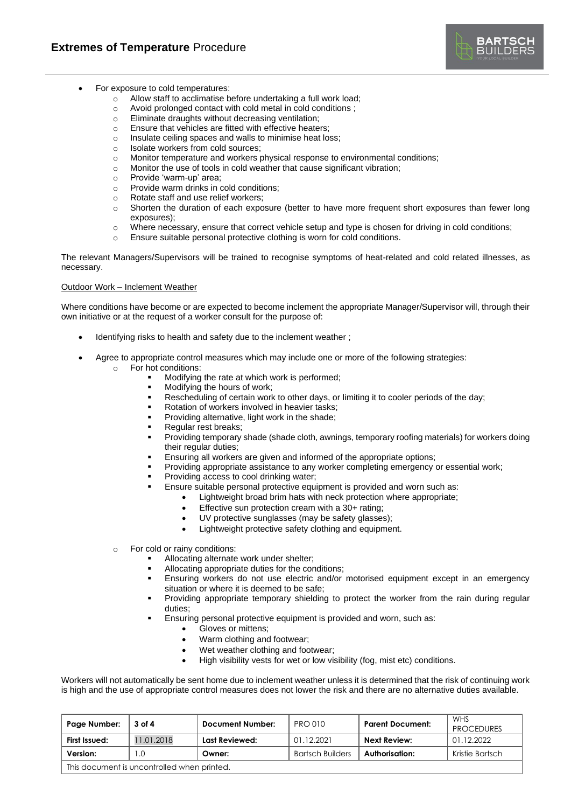

- For exposure to cold temperatures:
	- o Allow staff to acclimatise before undertaking a full work load;
	- o Avoid prolonged contact with cold metal in cold conditions ;
	- o Eliminate draughts without decreasing ventilation;
	- o Ensure that vehicles are fitted with effective heaters;
	- o Insulate ceiling spaces and walls to minimise heat loss;
	- o Isolate workers from cold sources;
	- o Monitor temperature and workers physical response to environmental conditions;
	- o Monitor the use of tools in cold weather that cause significant vibration;
	- o Provide 'warm-up' area;
	- o Provide warm drinks in cold conditions;
	- o Rotate staff and use relief workers;
	- o Shorten the duration of each exposure (better to have more frequent short exposures than fewer long exposures);
	- o Where necessary, ensure that correct vehicle setup and type is chosen for driving in cold conditions;
	- o Ensure suitable personal protective clothing is worn for cold conditions.

The relevant Managers/Supervisors will be trained to recognise symptoms of heat-related and cold related illnesses, as necessary.

#### Outdoor Work – Inclement Weather

Where conditions have become or are expected to become inclement the appropriate Manager/Supervisor will, through their own initiative or at the request of a worker consult for the purpose of:

- Identifying risks to health and safety due to the inclement weather;
- Agree to appropriate control measures which may include one or more of the following strategies:
	- o For hot conditions:
		- Modifying the rate at which work is performed;
		- Modifying the hours of work;
		- Rescheduling of certain work to other days, or limiting it to cooler periods of the day;
		- Rotation of workers involved in heavier tasks;
		- Providing alternative, light work in the shade;
		- Regular rest breaks;
		- Providing temporary shade (shade cloth, awnings, temporary roofing materials) for workers doing their regular duties;
		- Ensuring all workers are given and informed of the appropriate options;
		- Providing appropriate assistance to any worker completing emergency or essential work;
		- Providing access to cool drinking water;
		- Ensure suitable personal protective equipment is provided and worn such as:
			- Lightweight broad brim hats with neck protection where appropriate;
				- Effective sun protection cream with a 30+ rating;
				- UV protective sunglasses (may be safety glasses);
				- Lightweight protective safety clothing and equipment.
	- For cold or rainy conditions:
		- Allocating alternate work under shelter;
		- Allocating appropriate duties for the conditions;
		- **Ensuring workers do not use electric and/or motorised equipment except in an emergency** situation or where it is deemed to be safe;
		- Providing appropriate temporary shielding to protect the worker from the rain during regular duties;
		- Ensuring personal protective equipment is provided and worn, such as:
			- Gloves or mittens;
			- Warm clothing and footwear;
			- Wet weather clothing and footwear;
			- High visibility vests for wet or low visibility (fog, mist etc) conditions.

Workers will not automatically be sent home due to inclement weather unless it is determined that the risk of continuing work is high and the use of appropriate control measures does not lower the risk and there are no alternative duties available.

| Page Number:                                | 3 of 4     | Document Number: | <b>PRO 010</b>          | <b>Parent Document:</b> | WHS<br><b>PROCEDURES</b> |
|---------------------------------------------|------------|------------------|-------------------------|-------------------------|--------------------------|
| First Issued:                               | 11.01.2018 | Last Reviewed:   | 01.12.2021              | Next Review:            | 01.12.2022               |
| Version:                                    |            | Owner:           | <b>Bartsch Builders</b> | Authorisation:          | Kristie Bartsch          |
| This document is uncontrolled when printed. |            |                  |                         |                         |                          |